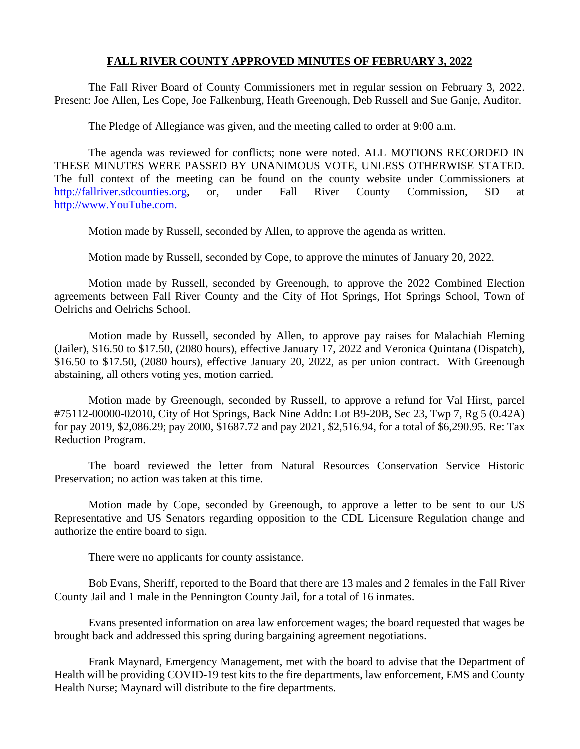### **FALL RIVER COUNTY APPROVED MINUTES OF FEBRUARY 3, 2022**

The Fall River Board of County Commissioners met in regular session on February 3, 2022. Present: Joe Allen, Les Cope, Joe Falkenburg, Heath Greenough, Deb Russell and Sue Ganje, Auditor.

The Pledge of Allegiance was given, and the meeting called to order at 9:00 a.m.

The agenda was reviewed for conflicts; none were noted. ALL MOTIONS RECORDED IN THESE MINUTES WERE PASSED BY UNANIMOUS VOTE, UNLESS OTHERWISE STATED. The full context of the meeting can be found on the county website under Commissioners at [http://fallriver.sdcounties.org,](http://fallriver.sdcounties.org/) or, under Fall River County Commission, SD at [http://www.YouTube.com.](http://www.youtube.com/)

Motion made by Russell, seconded by Allen, to approve the agenda as written.

Motion made by Russell, seconded by Cope, to approve the minutes of January 20, 2022.

Motion made by Russell, seconded by Greenough, to approve the 2022 Combined Election agreements between Fall River County and the City of Hot Springs, Hot Springs School, Town of Oelrichs and Oelrichs School.

Motion made by Russell, seconded by Allen, to approve pay raises for Malachiah Fleming (Jailer), \$16.50 to \$17.50, (2080 hours), effective January 17, 2022 and Veronica Quintana (Dispatch), \$16.50 to \$17.50, (2080 hours), effective January 20, 2022, as per union contract. With Greenough abstaining, all others voting yes, motion carried.

Motion made by Greenough, seconded by Russell, to approve a refund for Val Hirst, parcel #75112-00000-02010, City of Hot Springs, Back Nine Addn: Lot B9-20B, Sec 23, Twp 7, Rg 5 (0.42A) for pay 2019, \$2,086.29; pay 2000, \$1687.72 and pay 2021, \$2,516.94, for a total of \$6,290.95. Re: Tax Reduction Program.

The board reviewed the letter from Natural Resources Conservation Service Historic Preservation; no action was taken at this time.

Motion made by Cope, seconded by Greenough, to approve a letter to be sent to our US Representative and US Senators regarding opposition to the CDL Licensure Regulation change and authorize the entire board to sign.

There were no applicants for county assistance.

Bob Evans, Sheriff, reported to the Board that there are 13 males and 2 females in the Fall River County Jail and 1 male in the Pennington County Jail, for a total of 16 inmates.

Evans presented information on area law enforcement wages; the board requested that wages be brought back and addressed this spring during bargaining agreement negotiations.

Frank Maynard, Emergency Management, met with the board to advise that the Department of Health will be providing COVID-19 test kits to the fire departments, law enforcement, EMS and County Health Nurse; Maynard will distribute to the fire departments.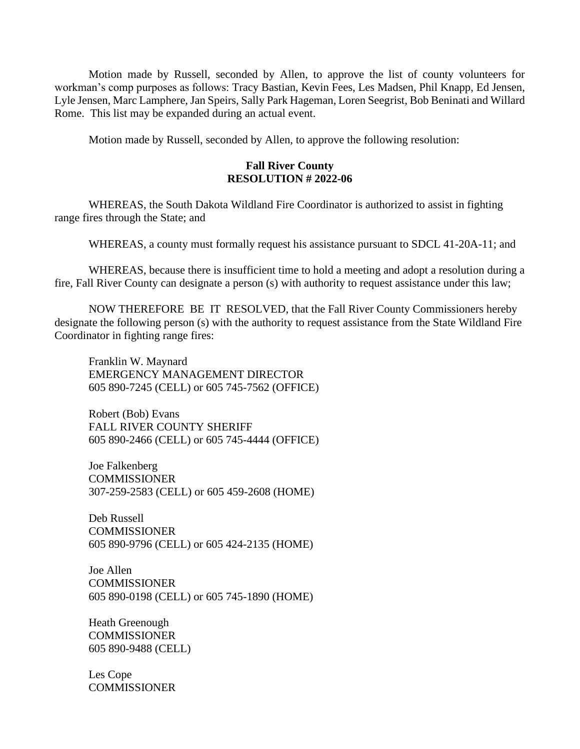Motion made by Russell, seconded by Allen, to approve the list of county volunteers for workman's comp purposes as follows: Tracy Bastian, Kevin Fees, Les Madsen, Phil Knapp, Ed Jensen, Lyle Jensen, Marc Lamphere, Jan Speirs, Sally Park Hageman, Loren Seegrist, Bob Beninati and Willard Rome. This list may be expanded during an actual event.

Motion made by Russell, seconded by Allen, to approve the following resolution:

## **Fall River County RESOLUTION # 2022-06**

WHEREAS, the South Dakota Wildland Fire Coordinator is authorized to assist in fighting range fires through the State; and

WHEREAS, a county must formally request his assistance pursuant to SDCL 41-20A-11; and

WHEREAS, because there is insufficient time to hold a meeting and adopt a resolution during a fire, Fall River County can designate a person (s) with authority to request assistance under this law;

NOW THEREFORE BE IT RESOLVED, that the Fall River County Commissioners hereby designate the following person (s) with the authority to request assistance from the State Wildland Fire Coordinator in fighting range fires:

Franklin W. Maynard EMERGENCY MANAGEMENT DIRECTOR 605 890-7245 (CELL) or 605 745-7562 (OFFICE)

Robert (Bob) Evans FALL RIVER COUNTY SHERIFF 605 890-2466 (CELL) or 605 745-4444 (OFFICE)

Joe Falkenberg COMMISSIONER 307-259-2583 (CELL) or 605 459-2608 (HOME)

Deb Russell COMMISSIONER 605 890-9796 (CELL) or 605 424-2135 (HOME)

Joe Allen **COMMISSIONER** 605 890-0198 (CELL) or 605 745-1890 (HOME)

Heath Greenough COMMISSIONER 605 890-9488 (CELL)

Les Cope **COMMISSIONER**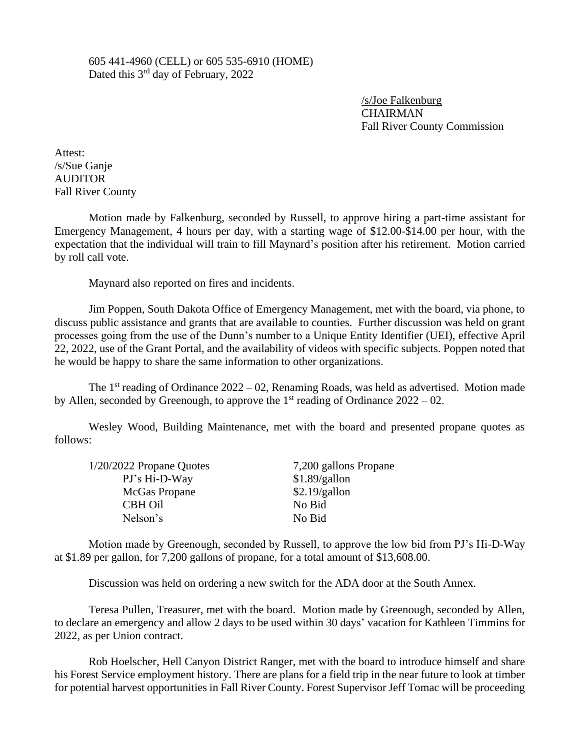605 441-4960 (CELL) or 605 535-6910 (HOME) Dated this 3<sup>rd</sup> day of February, 2022

> /s/Joe Falkenburg CHAIRMAN Fall River County Commission

Attest: /s/Sue Ganje AUDITOR Fall River County

Motion made by Falkenburg, seconded by Russell, to approve hiring a part-time assistant for Emergency Management, 4 hours per day, with a starting wage of \$12.00-\$14.00 per hour, with the expectation that the individual will train to fill Maynard's position after his retirement. Motion carried by roll call vote.

Maynard also reported on fires and incidents.

Jim Poppen, South Dakota Office of Emergency Management, met with the board, via phone, to discuss public assistance and grants that are available to counties. Further discussion was held on grant processes going from the use of the Dunn's number to a Unique Entity Identifier (UEI), effective April 22, 2022, use of the Grant Portal, and the availability of videos with specific subjects. Poppen noted that he would be happy to share the same information to other organizations.

The 1<sup>st</sup> reading of Ordinance 2022 – 02, Renaming Roads, was held as advertised. Motion made by Allen, seconded by Greenough, to approve the  $1<sup>st</sup>$  reading of Ordinance  $2022 - 02$ .

Wesley Wood, Building Maintenance, met with the board and presented propane quotes as follows:

| $1/20/2022$ Propane Quotes | 7,200 gallons Propane |
|----------------------------|-----------------------|
| PJ's Hi-D-Way              | \$1.89/gallon         |
| McGas Propane              | \$2.19/gallon         |
| <b>CBH Oil</b>             | No Bid                |
| Nelson's                   | No Bid                |

Motion made by Greenough, seconded by Russell, to approve the low bid from PJ's Hi-D-Way at \$1.89 per gallon, for 7,200 gallons of propane, for a total amount of \$13,608.00.

Discussion was held on ordering a new switch for the ADA door at the South Annex.

Teresa Pullen, Treasurer, met with the board. Motion made by Greenough, seconded by Allen, to declare an emergency and allow 2 days to be used within 30 days' vacation for Kathleen Timmins for 2022, as per Union contract.

Rob Hoelscher, Hell Canyon District Ranger, met with the board to introduce himself and share his Forest Service employment history. There are plans for a field trip in the near future to look at timber for potential harvest opportunities in Fall River County. Forest Supervisor Jeff Tomac will be proceeding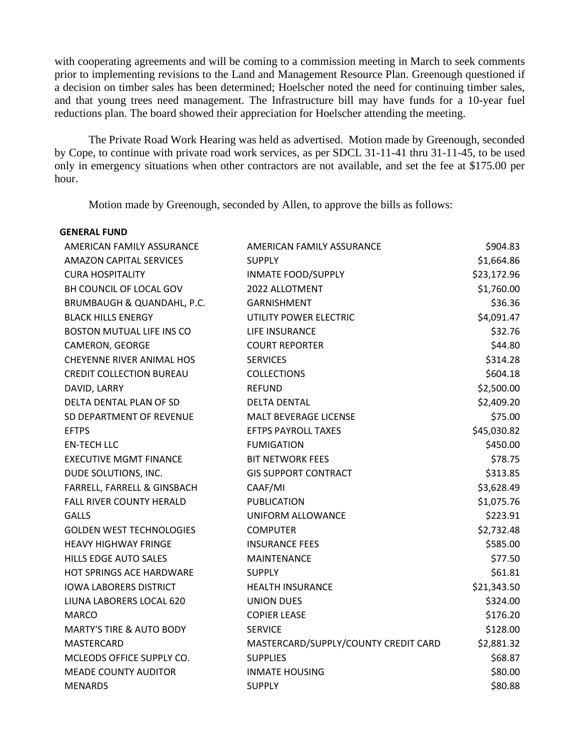with cooperating agreements and will be coming to a commission meeting in March to seek comments prior to implementing revisions to the Land and Management Resource Plan. Greenough questioned if a decision on timber sales has been determined; Hoelscher noted the need for continuing timber sales, and that young trees need management. The Infrastructure bill may have funds for a 10-year fuel reductions plan. The board showed their appreciation for Hoelscher attending the meeting.

The Private Road Work Hearing was held as advertised. Motion made by Greenough, seconded by Cope, to continue with private road work services, as per SDCL 31-11-41 thru 31-11-45, to be used only in emergency situations when other contractors are not available, and set the fee at \$175.00 per hour.

Motion made by Greenough, seconded by Allen, to approve the bills as follows:

| <b>GENERAL FUND</b>                 |                                      |             |
|-------------------------------------|--------------------------------------|-------------|
| AMERICAN FAMILY ASSURANCE           | AMERICAN FAMILY ASSURANCE            | \$904.83    |
| <b>AMAZON CAPITAL SERVICES</b>      | <b>SUPPLY</b>                        | \$1,664.86  |
| <b>CURA HOSPITALITY</b>             | <b>INMATE FOOD/SUPPLY</b>            | \$23,172.96 |
| BH COUNCIL OF LOCAL GOV             | 2022 ALLOTMENT                       | \$1,760.00  |
| BRUMBAUGH & QUANDAHL, P.C.          | <b>GARNISHMENT</b>                   | \$36.36     |
| <b>BLACK HILLS ENERGY</b>           | UTILITY POWER ELECTRIC               | \$4,091.47  |
| <b>BOSTON MUTUAL LIFE INS CO</b>    | LIFE INSURANCE                       | \$32.76     |
| CAMERON, GEORGE                     | <b>COURT REPORTER</b>                | \$44.80     |
| <b>CHEYENNE RIVER ANIMAL HOS</b>    | <b>SERVICES</b>                      | \$314.28    |
| <b>CREDIT COLLECTION BUREAU</b>     | <b>COLLECTIONS</b>                   | \$604.18    |
| DAVID, LARRY                        | <b>REFUND</b>                        | \$2,500.00  |
| DELTA DENTAL PLAN OF SD             | <b>DELTA DENTAL</b>                  | \$2,409.20  |
| SD DEPARTMENT OF REVENUE            | <b>MALT BEVERAGE LICENSE</b>         | \$75.00     |
| <b>EFTPS</b>                        | <b>EFTPS PAYROLL TAXES</b>           | \$45,030.82 |
| <b>EN-TECH LLC</b>                  | <b>FUMIGATION</b>                    | \$450.00    |
| <b>EXECUTIVE MGMT FINANCE</b>       | <b>BIT NETWORK FEES</b>              | \$78.75     |
| DUDE SOLUTIONS, INC.                | <b>GIS SUPPORT CONTRACT</b>          | \$313.85    |
| FARRELL, FARRELL & GINSBACH         | CAAF/MI                              | \$3,628.49  |
| <b>FALL RIVER COUNTY HERALD</b>     | <b>PUBLICATION</b>                   | \$1,075.76  |
| <b>GALLS</b>                        | UNIFORM ALLOWANCE                    | \$223.91    |
| <b>GOLDEN WEST TECHNOLOGIES</b>     | <b>COMPUTER</b>                      | \$2,732.48  |
| <b>HEAVY HIGHWAY FRINGE</b>         | <b>INSURANCE FEES</b>                | \$585.00    |
| <b>HILLS EDGE AUTO SALES</b>        | <b>MAINTENANCE</b>                   | \$77.50     |
| HOT SPRINGS ACE HARDWARE            | <b>SUPPLY</b>                        | \$61.81     |
| <b>IOWA LABORERS DISTRICT</b>       | <b>HEALTH INSURANCE</b>              | \$21,343.50 |
| LIUNA LABORERS LOCAL 620            | <b>UNION DUES</b>                    | \$324.00    |
| <b>MARCO</b>                        | <b>COPIER LEASE</b>                  | \$176.20    |
| <b>MARTY'S TIRE &amp; AUTO BODY</b> | <b>SERVICE</b>                       | \$128.00    |
| <b>MASTERCARD</b>                   | MASTERCARD/SUPPLY/COUNTY CREDIT CARD | \$2,881.32  |
| MCLEODS OFFICE SUPPLY CO.           | <b>SUPPLIES</b>                      | \$68.87     |
| <b>MEADE COUNTY AUDITOR</b>         | <b>INMATE HOUSING</b>                | \$80.00     |
| <b>MENARDS</b>                      | <b>SUPPLY</b>                        | \$80.88     |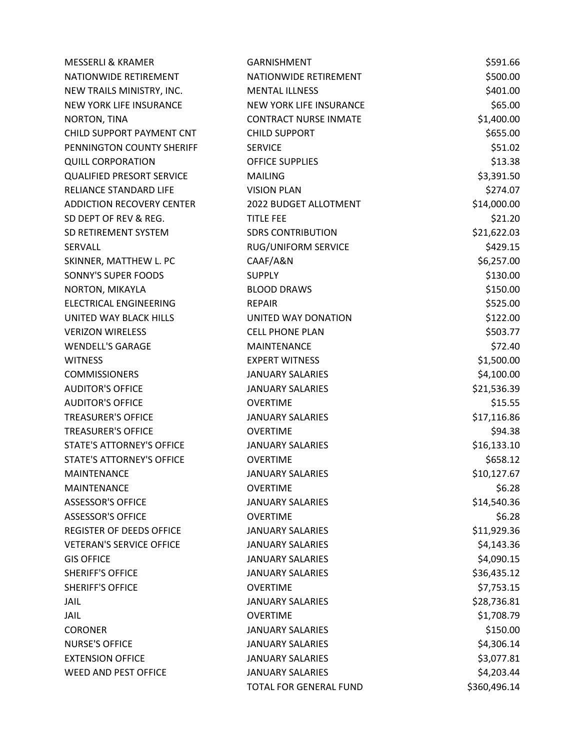| <b>MESSERLI &amp; KRAMER</b>     | <b>GARNISHMENT</b>           | \$591.66     |
|----------------------------------|------------------------------|--------------|
| NATIONWIDE RETIREMENT            | NATIONWIDE RETIREMENT        | \$500.00     |
| NEW TRAILS MINISTRY, INC.        | <b>MENTAL ILLNESS</b>        | \$401.00     |
| NEW YORK LIFE INSURANCE          | NEW YORK LIFE INSURANCE      | \$65.00      |
| NORTON, TINA                     | <b>CONTRACT NURSE INMATE</b> | \$1,400.00   |
| CHILD SUPPORT PAYMENT CNT        | <b>CHILD SUPPORT</b>         | \$655.00     |
| PENNINGTON COUNTY SHERIFF        | <b>SERVICE</b>               | \$51.02      |
| <b>QUILL CORPORATION</b>         | <b>OFFICE SUPPLIES</b>       | \$13.38      |
| <b>QUALIFIED PRESORT SERVICE</b> | <b>MAILING</b>               | \$3,391.50   |
| RELIANCE STANDARD LIFE           | <b>VISION PLAN</b>           | \$274.07     |
| <b>ADDICTION RECOVERY CENTER</b> | 2022 BUDGET ALLOTMENT        | \$14,000.00  |
| SD DEPT OF REV & REG.            | <b>TITLE FEE</b>             | \$21.20      |
| SD RETIREMENT SYSTEM             | <b>SDRS CONTRIBUTION</b>     | \$21,622.03  |
| SERVALL                          | RUG/UNIFORM SERVICE          | \$429.15     |
| SKINNER, MATTHEW L. PC           | CAAF/A&N                     | \$6,257.00   |
| <b>SONNY'S SUPER FOODS</b>       | <b>SUPPLY</b>                | \$130.00     |
| NORTON, MIKAYLA                  | <b>BLOOD DRAWS</b>           | \$150.00     |
| <b>ELECTRICAL ENGINEERING</b>    | <b>REPAIR</b>                | \$525.00     |
| UNITED WAY BLACK HILLS           | UNITED WAY DONATION          | \$122.00     |
| <b>VERIZON WIRELESS</b>          | <b>CELL PHONE PLAN</b>       | \$503.77     |
| <b>WENDELL'S GARAGE</b>          | <b>MAINTENANCE</b>           | \$72.40      |
| <b>WITNESS</b>                   | <b>EXPERT WITNESS</b>        | \$1,500.00   |
| <b>COMMISSIONERS</b>             | <b>JANUARY SALARIES</b>      | \$4,100.00   |
| <b>AUDITOR'S OFFICE</b>          | <b>JANUARY SALARIES</b>      | \$21,536.39  |
| <b>AUDITOR'S OFFICE</b>          | <b>OVERTIME</b>              | \$15.55      |
| <b>TREASURER'S OFFICE</b>        | <b>JANUARY SALARIES</b>      | \$17,116.86  |
| <b>TREASURER'S OFFICE</b>        | <b>OVERTIME</b>              | \$94.38      |
| <b>STATE'S ATTORNEY'S OFFICE</b> | <b>JANUARY SALARIES</b>      | \$16,133.10  |
| <b>STATE'S ATTORNEY'S OFFICE</b> | <b>OVERTIME</b>              | \$658.12     |
| MAINTENANCE                      | <b>JANUARY SALARIES</b>      | \$10,127.67  |
| <b>MAINTENANCE</b>               | <b>OVERTIME</b>              | \$6.28       |
| <b>ASSESSOR'S OFFICE</b>         | <b>JANUARY SALARIES</b>      | \$14,540.36  |
| <b>ASSESSOR'S OFFICE</b>         | <b>OVERTIME</b>              | \$6.28       |
| <b>REGISTER OF DEEDS OFFICE</b>  | <b>JANUARY SALARIES</b>      | \$11,929.36  |
| <b>VETERAN'S SERVICE OFFICE</b>  | <b>JANUARY SALARIES</b>      | \$4,143.36   |
| <b>GIS OFFICE</b>                | <b>JANUARY SALARIES</b>      | \$4,090.15   |
| <b>SHERIFF'S OFFICE</b>          | <b>JANUARY SALARIES</b>      | \$36,435.12  |
| <b>SHERIFF'S OFFICE</b>          | <b>OVERTIME</b>              | \$7,753.15   |
| <b>JAIL</b>                      | <b>JANUARY SALARIES</b>      | \$28,736.81  |
| <b>JAIL</b>                      | <b>OVERTIME</b>              | \$1,708.79   |
| <b>CORONER</b>                   | <b>JANUARY SALARIES</b>      | \$150.00     |
| <b>NURSE'S OFFICE</b>            | <b>JANUARY SALARIES</b>      | \$4,306.14   |
| <b>EXTENSION OFFICE</b>          | <b>JANUARY SALARIES</b>      | \$3,077.81   |
| <b>WEED AND PEST OFFICE</b>      | <b>JANUARY SALARIES</b>      | \$4,203.44   |
|                                  | TOTAL FOR GENERAL FUND       | \$360,496.14 |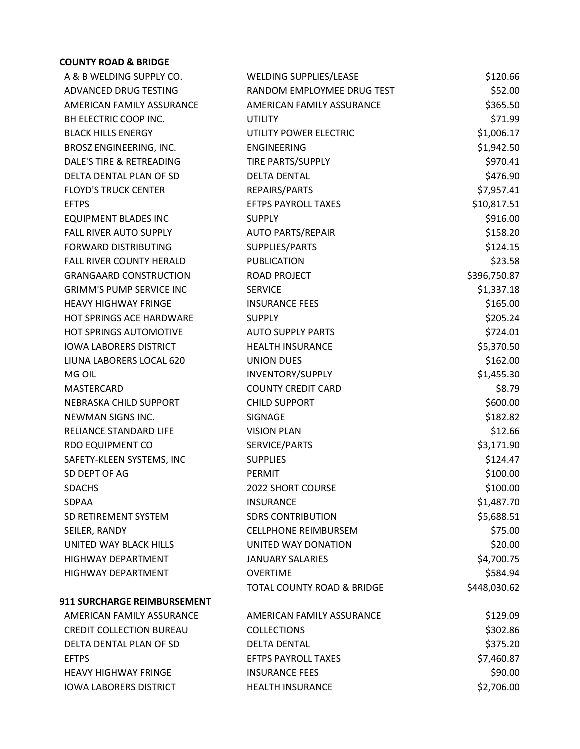## **COUNTY ROAD & BRIDGE**

| A & B WELDING SUPPLY CO.           | <b>WELDING SUPPLIES/LEASE</b> | \$120.66     |
|------------------------------------|-------------------------------|--------------|
| ADVANCED DRUG TESTING              | RANDOM EMPLOYMEE DRUG TEST    | \$52.00      |
| AMERICAN FAMILY ASSURANCE          | AMERICAN FAMILY ASSURANCE     | \$365.50     |
| BH ELECTRIC COOP INC.              | <b>UTILITY</b>                | \$71.99      |
| <b>BLACK HILLS ENERGY</b>          | UTILITY POWER ELECTRIC        | \$1,006.17   |
| BROSZ ENGINEERING, INC.            | <b>ENGINEERING</b>            | \$1,942.50   |
| DALE'S TIRE & RETREADING           | TIRE PARTS/SUPPLY             | \$970.41     |
| DELTA DENTAL PLAN OF SD            | <b>DELTA DENTAL</b>           | \$476.90     |
| <b>FLOYD'S TRUCK CENTER</b>        | REPAIRS/PARTS                 | \$7,957.41   |
| <b>EFTPS</b>                       | EFTPS PAYROLL TAXES           | \$10,817.51  |
| <b>EQUIPMENT BLADES INC</b>        | <b>SUPPLY</b>                 | \$916.00     |
| FALL RIVER AUTO SUPPLY             | <b>AUTO PARTS/REPAIR</b>      | \$158.20     |
| <b>FORWARD DISTRIBUTING</b>        | SUPPLIES/PARTS                | \$124.15     |
| FALL RIVER COUNTY HERALD           | <b>PUBLICATION</b>            | \$23.58      |
| <b>GRANGAARD CONSTRUCTION</b>      | <b>ROAD PROJECT</b>           | \$396,750.87 |
| <b>GRIMM'S PUMP SERVICE INC</b>    | <b>SERVICE</b>                | \$1,337.18   |
| <b>HEAVY HIGHWAY FRINGE</b>        | <b>INSURANCE FEES</b>         | \$165.00     |
| HOT SPRINGS ACE HARDWARE           | <b>SUPPLY</b>                 | \$205.24     |
| HOT SPRINGS AUTOMOTIVE             | <b>AUTO SUPPLY PARTS</b>      | \$724.01     |
| <b>IOWA LABORERS DISTRICT</b>      | <b>HEALTH INSURANCE</b>       | \$5,370.50   |
| LIUNA LABORERS LOCAL 620           | <b>UNION DUES</b>             | \$162.00     |
| MG OIL                             | INVENTORY/SUPPLY              | \$1,455.30   |
| MASTERCARD                         | <b>COUNTY CREDIT CARD</b>     | \$8.79       |
| NEBRASKA CHILD SUPPORT             | <b>CHILD SUPPORT</b>          | \$600.00     |
| NEWMAN SIGNS INC.                  | SIGNAGE                       | \$182.82     |
| RELIANCE STANDARD LIFE             | <b>VISION PLAN</b>            | \$12.66      |
| RDO EQUIPMENT CO                   | SERVICE/PARTS                 | \$3,171.90   |
| SAFETY-KLEEN SYSTEMS, INC          | <b>SUPPLIES</b>               | \$124.47     |
| SD DEPT OF AG                      | <b>PERMIT</b>                 | \$100.00     |
| <b>SDACHS</b>                      | <b>2022 SHORT COURSE</b>      | \$100.00     |
| <b>SDPAA</b>                       | <b>INSURANCE</b>              | \$1,487.70   |
| SD RETIREMENT SYSTEM               | <b>SDRS CONTRIBUTION</b>      | \$5,688.51   |
| SEILER, RANDY                      | <b>CELLPHONE REIMBURSEM</b>   | \$75.00      |
| UNITED WAY BLACK HILLS             | UNITED WAY DONATION           | \$20.00      |
| <b>HIGHWAY DEPARTMENT</b>          | <b>JANUARY SALARIES</b>       | \$4,700.75   |
| <b>HIGHWAY DEPARTMENT</b>          | <b>OVERTIME</b>               | \$584.94     |
|                                    | TOTAL COUNTY ROAD & BRIDGE    | \$448,030.62 |
| <b>911 SURCHARGE REIMBURSEMENT</b> |                               |              |
| AMERICAN FAMILY ASSURANCE          | AMERICAN FAMILY ASSURANCE     | \$129.09     |
| <b>CREDIT COLLECTION BUREAU</b>    | <b>COLLECTIONS</b>            | \$302.86     |
| DELTA DENTAL PLAN OF SD            | <b>DELTA DENTAL</b>           | \$375.20     |
| <b>EFTPS</b>                       | <b>EFTPS PAYROLL TAXES</b>    | \$7,460.87   |
| <b>HEAVY HIGHWAY FRINGE</b>        | <b>INSURANCE FEES</b>         | \$90.00      |
| <b>IOWA LABORERS DISTRICT</b>      | <b>HEALTH INSURANCE</b>       | \$2,706.00   |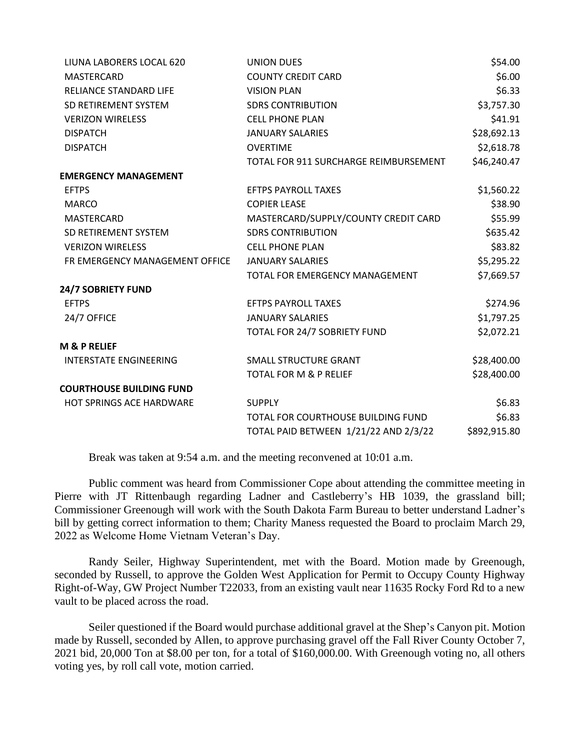| LIUNA LABORERS LOCAL 620        | <b>UNION DUES</b>                     | \$54.00      |
|---------------------------------|---------------------------------------|--------------|
| <b>MASTERCARD</b>               | <b>COUNTY CREDIT CARD</b>             | \$6.00       |
| RELIANCE STANDARD LIFE          | <b>VISION PLAN</b>                    | \$6.33       |
| SD RETIREMENT SYSTEM            | <b>SDRS CONTRIBUTION</b>              | \$3,757.30   |
| <b>VERIZON WIRELESS</b>         | <b>CELL PHONE PLAN</b>                | \$41.91      |
| <b>DISPATCH</b>                 | <b>JANUARY SALARIES</b>               | \$28,692.13  |
| <b>DISPATCH</b>                 | <b>OVERTIME</b>                       | \$2,618.78   |
|                                 | TOTAL FOR 911 SURCHARGE REIMBURSEMENT | \$46,240.47  |
| <b>EMERGENCY MANAGEMENT</b>     |                                       |              |
| <b>EFTPS</b>                    | <b>EFTPS PAYROLL TAXES</b>            | \$1,560.22   |
| <b>MARCO</b>                    | <b>COPIER LEASE</b>                   | \$38.90      |
| <b>MASTERCARD</b>               | MASTERCARD/SUPPLY/COUNTY CREDIT CARD  | \$55.99      |
| SD RETIREMENT SYSTEM            | <b>SDRS CONTRIBUTION</b>              | \$635.42     |
| <b>VERIZON WIRELESS</b>         | <b>CELL PHONE PLAN</b>                | \$83.82      |
| FR EMERGENCY MANAGEMENT OFFICE  | <b>JANUARY SALARIES</b>               | \$5,295.22   |
|                                 | TOTAL FOR EMERGENCY MANAGEMENT        | \$7,669.57   |
| <b>24/7 SOBRIETY FUND</b>       |                                       |              |
| <b>EFTPS</b>                    | <b>EFTPS PAYROLL TAXES</b>            | \$274.96     |
| 24/7 OFFICE                     | <b>JANUARY SALARIES</b>               | \$1,797.25   |
|                                 | TOTAL FOR 24/7 SOBRIETY FUND          | \$2,072.21   |
| <b>M &amp; P RELIEF</b>         |                                       |              |
| <b>INTERSTATE ENGINEERING</b>   | <b>SMALL STRUCTURE GRANT</b>          | \$28,400.00  |
|                                 | <b>TOTAL FOR M &amp; P RELIEF</b>     | \$28,400.00  |
| <b>COURTHOUSE BUILDING FUND</b> |                                       |              |
| HOT SPRINGS ACE HARDWARE        | <b>SUPPLY</b>                         | \$6.83       |
|                                 | TOTAL FOR COURTHOUSE BUILDING FUND    | \$6.83       |
|                                 | TOTAL PAID BETWEEN 1/21/22 AND 2/3/22 | \$892,915.80 |

Break was taken at 9:54 a.m. and the meeting reconvened at 10:01 a.m.

Public comment was heard from Commissioner Cope about attending the committee meeting in Pierre with JT Rittenbaugh regarding Ladner and Castleberry's HB 1039, the grassland bill; Commissioner Greenough will work with the South Dakota Farm Bureau to better understand Ladner's bill by getting correct information to them; Charity Maness requested the Board to proclaim March 29, 2022 as Welcome Home Vietnam Veteran's Day.

Randy Seiler, Highway Superintendent, met with the Board. Motion made by Greenough, seconded by Russell, to approve the Golden West Application for Permit to Occupy County Highway Right-of-Way, GW Project Number T22033, from an existing vault near 11635 Rocky Ford Rd to a new vault to be placed across the road.

Seiler questioned if the Board would purchase additional gravel at the Shep's Canyon pit. Motion made by Russell, seconded by Allen, to approve purchasing gravel off the Fall River County October 7, 2021 bid, 20,000 Ton at \$8.00 per ton, for a total of \$160,000.00. With Greenough voting no, all others voting yes, by roll call vote, motion carried.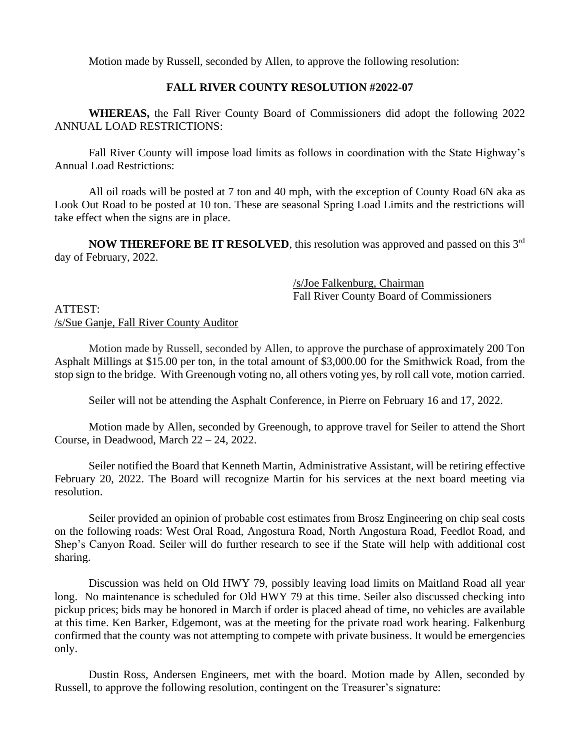Motion made by Russell, seconded by Allen, to approve the following resolution:

# **FALL RIVER COUNTY RESOLUTION #2022-07**

**WHEREAS,** the Fall River County Board of Commissioners did adopt the following 2022 ANNUAL LOAD RESTRICTIONS:

Fall River County will impose load limits as follows in coordination with the State Highway's Annual Load Restrictions:

All oil roads will be posted at 7 ton and 40 mph, with the exception of County Road 6N aka as Look Out Road to be posted at 10 ton. These are seasonal Spring Load Limits and the restrictions will take effect when the signs are in place.

**NOW THEREFORE BE IT RESOLVED**, this resolution was approved and passed on this 3<sup>rd</sup> day of February, 2022.

> /s/Joe Falkenburg, Chairman Fall River County Board of Commissioners

# ATTEST: /s/Sue Ganje, Fall River County Auditor

Motion made by Russell, seconded by Allen, to approve the purchase of approximately 200 Ton Asphalt Millings at \$15.00 per ton, in the total amount of \$3,000.00 for the Smithwick Road, from the stop sign to the bridge. With Greenough voting no, all others voting yes, by roll call vote, motion carried.

Seiler will not be attending the Asphalt Conference, in Pierre on February 16 and 17, 2022.

Motion made by Allen, seconded by Greenough, to approve travel for Seiler to attend the Short Course, in Deadwood, March 22 – 24, 2022.

Seiler notified the Board that Kenneth Martin, Administrative Assistant, will be retiring effective February 20, 2022. The Board will recognize Martin for his services at the next board meeting via resolution.

Seiler provided an opinion of probable cost estimates from Brosz Engineering on chip seal costs on the following roads: West Oral Road, Angostura Road, North Angostura Road, Feedlot Road, and Shep's Canyon Road. Seiler will do further research to see if the State will help with additional cost sharing.

Discussion was held on Old HWY 79, possibly leaving load limits on Maitland Road all year long. No maintenance is scheduled for Old HWY 79 at this time. Seiler also discussed checking into pickup prices; bids may be honored in March if order is placed ahead of time, no vehicles are available at this time. Ken Barker, Edgemont, was at the meeting for the private road work hearing. Falkenburg confirmed that the county was not attempting to compete with private business. It would be emergencies only.

Dustin Ross, Andersen Engineers, met with the board. Motion made by Allen, seconded by Russell, to approve the following resolution, contingent on the Treasurer's signature: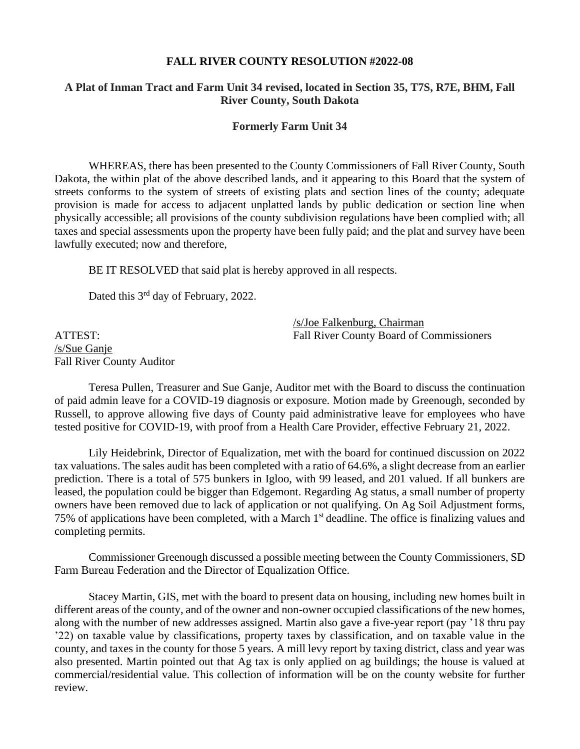#### **FALL RIVER COUNTY RESOLUTION #2022-08**

## **A Plat of Inman Tract and Farm Unit 34 revised, located in Section 35, T7S, R7E, BHM, Fall River County, South Dakota**

#### **Formerly Farm Unit 34**

WHEREAS, there has been presented to the County Commissioners of Fall River County, South Dakota, the within plat of the above described lands, and it appearing to this Board that the system of streets conforms to the system of streets of existing plats and section lines of the county; adequate provision is made for access to adjacent unplatted lands by public dedication or section line when physically accessible; all provisions of the county subdivision regulations have been complied with; all taxes and special assessments upon the property have been fully paid; and the plat and survey have been lawfully executed; now and therefore,

BE IT RESOLVED that said plat is hereby approved in all respects.

Dated this 3<sup>rd</sup> day of February, 2022.

/s/Joe Falkenburg, Chairman ATTEST: Fall River County Board of Commissioners

/s/Sue Ganje Fall River County Auditor

Teresa Pullen, Treasurer and Sue Ganje, Auditor met with the Board to discuss the continuation of paid admin leave for a COVID-19 diagnosis or exposure. Motion made by Greenough, seconded by Russell, to approve allowing five days of County paid administrative leave for employees who have tested positive for COVID-19, with proof from a Health Care Provider, effective February 21, 2022.

Lily Heidebrink, Director of Equalization, met with the board for continued discussion on 2022 tax valuations. The sales audit has been completed with a ratio of 64.6%, a slight decrease from an earlier prediction. There is a total of 575 bunkers in Igloo, with 99 leased, and 201 valued. If all bunkers are leased, the population could be bigger than Edgemont. Regarding Ag status, a small number of property owners have been removed due to lack of application or not qualifying. On Ag Soil Adjustment forms, 75% of applications have been completed, with a March 1<sup>st</sup> deadline. The office is finalizing values and completing permits.

Commissioner Greenough discussed a possible meeting between the County Commissioners, SD Farm Bureau Federation and the Director of Equalization Office.

Stacey Martin, GIS, met with the board to present data on housing, including new homes built in different areas of the county, and of the owner and non-owner occupied classifications of the new homes, along with the number of new addresses assigned. Martin also gave a five-year report (pay '18 thru pay '22) on taxable value by classifications, property taxes by classification, and on taxable value in the county, and taxes in the county for those 5 years. A mill levy report by taxing district, class and year was also presented. Martin pointed out that Ag tax is only applied on ag buildings; the house is valued at commercial/residential value. This collection of information will be on the county website for further review.